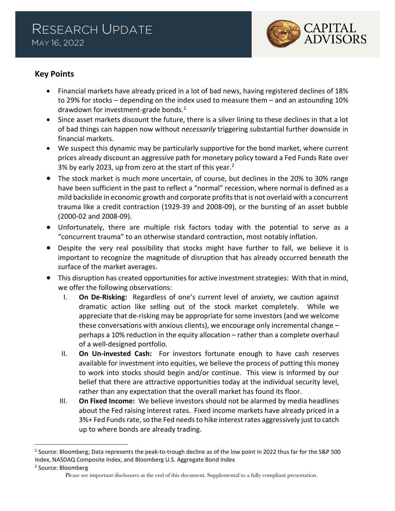

# **Key Points**

- Financial markets have already priced in a lot of bad news, having registered declines of 18% to 29% for stocks – depending on the index used to measure them – and an astounding 10% drawdown for investment-grade bonds.<sup>[1](#page-0-0)</sup>
- Since asset markets discount the future, there is a silver lining to these declines in that a lot of bad things can happen now without *necessarily* triggering substantial further downside in financial markets.
- We suspect this dynamic may be particularly supportive for the bond market, where current prices already discount an aggressive path for monetary policy toward a Fed Funds Rate over 3% by early [2](#page-0-1)023, up from zero at the start of this year. $2$
- The stock market is much more uncertain, of course, but declines in the 20% to 30% range have been sufficient in the past to reflect a "normal" recession, where normal is defined as a mild backslide in economic growth and corporate profits that is not overlaid with a concurrent trauma like a credit contraction (1929-39 and 2008-09), or the bursting of an asset bubble (2000-02 and 2008-09).
- Unfortunately, there are multiple risk factors today with the potential to serve as a "concurrent trauma" to an otherwise standard contraction, most notably inflation.
- Despite the very real possibility that stocks might have further to fall, we believe it is important to recognize the magnitude of disruption that has already occurred beneath the surface of the market averages.
- This disruption has created opportunities for active investment strategies: With that in mind, we offer the following observations:
	- I. **On De-Risking:** Regardless of one's current level of anxiety, we caution against dramatic action like selling out of the stock market completely. While we appreciate that de-risking may be appropriate for some investors (and we welcome these conversations with anxious clients), we encourage only incremental change – perhaps a 10% reduction in the equity allocation – rather than a complete overhaul of a well-designed portfolio.
	- II. **On Un-invested Cash:** For investors fortunate enough to have cash reserves available for investment into equities, we believe the process of putting this money to work into stocks should begin and/or continue. This view is informed by our belief that there are attractive opportunities today at the individual security level, rather than any expectation that the overall market has found its floor.
	- III. **On Fixed Income:** We believe investors should not be alarmed by media headlines about the Fed raising interest rates. Fixed income markets have already priced in a 3%+ Fed Funds rate, so the Fed needs to hike interest rates aggressively just to catch up to where bonds are already trading.

<span id="page-0-1"></span><sup>2</sup> Source: Bloomberg

<span id="page-0-0"></span><sup>1</sup> Source: Bloomberg; Data represents the peak-to-trough decline as of the low point in 2022 thus far for the S&P 500 Index, NASDAQ Composite Index, and Bloomberg U.S. Aggregate Bond Index

Please see important disclosures at the end of this document. Supplemental to a fully compliant presentation.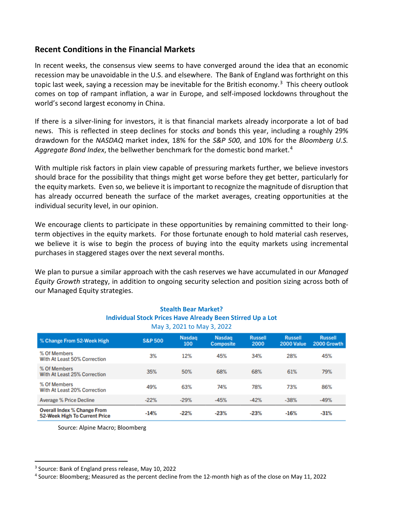## **Recent Conditions in the Financial Markets**

In recent weeks, the consensus view seems to have converged around the idea that an economic recession may be unavoidable in the U.S. and elsewhere. The Bank of England was forthright on this topic last week, saying a recession may be inevitable for the British economy.<sup>[3](#page-1-0)</sup> This cheery outlook comes on top of rampant inflation, a war in Europe, and self-imposed lockdowns throughout the world's second largest economy in China.

If there is a silver-lining for investors, it is that financial markets already incorporate a lot of bad news. This is reflected in steep declines for stocks *and* bonds this year, including a roughly 29% drawdown for the *NASDAQ* market index, 18% for the *S&P 500*, and 10% for the *Bloomberg U.S. Aggregate Bond Index*, the bellwether benchmark for the domestic bond market. [4](#page-1-1) 

With multiple risk factors in plain view capable of pressuring markets further, we believe investors should brace for the possibility that things might get worse before they get better, particularly for the equity markets. Even so, we believe it is important to recognize the magnitude of disruption that has already occurred beneath the surface of the market averages, creating opportunities at the individual security level, in our opinion.

We encourage clients to participate in these opportunities by remaining committed to their longterm objectives in the equity markets. For those fortunate enough to hold material cash reserves, we believe it is wise to begin the process of buying into the equity markets using incremental purchases in staggered stages over the next several months.

We plan to pursue a similar approach with the cash reserves we have accumulated in our *Managed Equity Growth* strategy, in addition to ongoing security selection and position sizing across both of our Managed Equity strategies.

| <b>Stealth Bear Market?</b><br><b>Individual Stock Prices Have Already Been Stirred Up a Lot</b><br>May 3, 2021 to May 3, 2022 |                    |                      |                            |                        |                              |                               |
|--------------------------------------------------------------------------------------------------------------------------------|--------------------|----------------------|----------------------------|------------------------|------------------------------|-------------------------------|
| % Change From 52-Week High                                                                                                     | <b>S&amp;P 500</b> | <b>Nasdag</b><br>100 | Nasdag<br><b>Composite</b> | <b>Russell</b><br>2000 | <b>Russell</b><br>2000 Value | <b>Russell</b><br>2000 Growth |
| % Of Members<br>With At Least 50% Correction                                                                                   | 3%                 | 12%                  | 45%                        | 34%                    | 28%                          | 45%                           |
| % Of Members<br>With At Least 25% Correction                                                                                   | 35%                | 50%                  | 68%                        | 68%                    | 61%                          | 79%                           |
| % Of Members<br>With At Least 20% Correction                                                                                   | 49%                | 63%                  | 74%                        | 78%                    | 73%                          | 86%                           |
| Average % Price Decline                                                                                                        | $-22%$             | $-29%$               | $-45%$                     | $-42%$                 | $-38%$                       | $-49%$                        |
| <b>Overall Index % Change From</b><br>52-Week High To Current Price                                                            | $-14%$             | $-22%$               | $-23%$                     | $-23%$                 | $-16%$                       | $-31%$                        |

Source: Alpine Macro; Bloomberg

<span id="page-1-0"></span><sup>3</sup> Source: Bank of England press release, May 10, 2022

<span id="page-1-1"></span><sup>4</sup> Source: Bloomberg; Measured as the percent decline from the 12-month high as of the close on May 11, 2022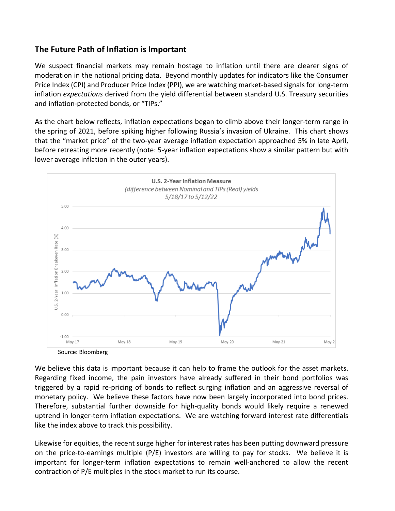## **The Future Path of Inflation is Important**

We suspect financial markets may remain hostage to inflation until there are clearer signs of moderation in the national pricing data. Beyond monthly updates for indicators like the Consumer Price Index (CPI) and Producer Price Index (PPI), we are watching market-based signals for long-term inflation *expectations* derived from the yield differential between standard U.S. Treasury securities and inflation-protected bonds, or "TIPs."

As the chart below reflects, inflation expectations began to climb above their longer-term range in the spring of 2021, before spiking higher following Russia's invasion of Ukraine. This chart shows that the "market price" of the two-year average inflation expectation approached 5% in late April, before retreating more recently (note: 5-year inflation expectations show a similar pattern but with lower average inflation in the outer years).





We believe this data is important because it can help to frame the outlook for the asset markets. Regarding fixed income, the pain investors have already suffered in their bond portfolios was triggered by a rapid re-pricing of bonds to reflect surging inflation and an aggressive reversal of monetary policy. We believe these factors have now been largely incorporated into bond prices. Therefore, substantial further downside for high-quality bonds would likely require a renewed uptrend in longer-term inflation expectations. We are watching forward interest rate differentials like the index above to track this possibility.

Likewise for equities, the recent surge higher for interest rates has been putting downward pressure on the price-to-earnings multiple  $(P/E)$  investors are willing to pay for stocks. We believe it is important for longer-term inflation expectations to remain well-anchored to allow the recent contraction of P/E multiples in the stock market to run its course.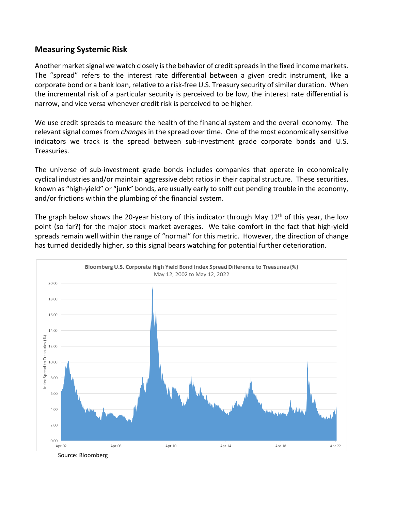### **Measuring Systemic Risk**

Another market signal we watch closely is the behavior of credit spreads in the fixed income markets. The "spread" refers to the interest rate differential between a given credit instrument, like a corporate bond or a bank loan, relative to a risk-free U.S. Treasury security of similar duration. When the incremental risk of a particular security is perceived to be low, the interest rate differential is narrow, and vice versa whenever credit risk is perceived to be higher.

We use credit spreads to measure the health of the financial system and the overall economy. The relevant signal comes from *changes* in the spread over time. One of the most economically sensitive indicators we track is the spread between sub-investment grade corporate bonds and U.S. Treasuries.

The universe of sub-investment grade bonds includes companies that operate in economically cyclical industries and/or maintain aggressive debt ratios in their capital structure. These securities, known as "high-yield" or "junk" bonds, are usually early to sniff out pending trouble in the economy, and/or frictions within the plumbing of the financial system.

The graph below shows the 20-year history of this indicator through May  $12<sup>th</sup>$  of this year, the low point (so far?) for the major stock market averages. We take comfort in the fact that high-yield spreads remain well within the range of "normal" for this metric. However, the direction of change has turned decidedly higher, so this signal bears watching for potential further deterioration.



Source: Bloomberg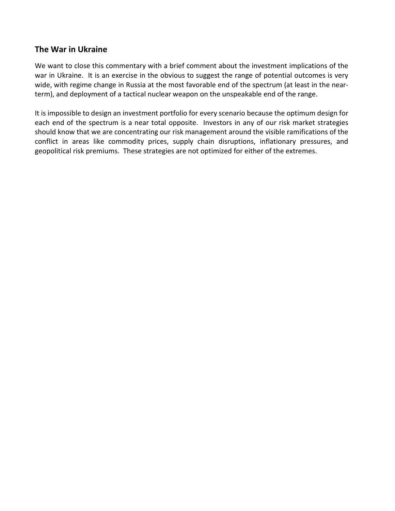## **The War in Ukraine**

We want to close this commentary with a brief comment about the investment implications of the war in Ukraine. It is an exercise in the obvious to suggest the range of potential outcomes is very wide, with regime change in Russia at the most favorable end of the spectrum (at least in the nearterm), and deployment of a tactical nuclear weapon on the unspeakable end of the range.

It is impossible to design an investment portfolio for every scenario because the optimum design for each end of the spectrum is a near total opposite. Investors in any of our risk market strategies should know that we are concentrating our risk management around the visible ramifications of the conflict in areas like commodity prices, supply chain disruptions, inflationary pressures, and geopolitical risk premiums. These strategies are not optimized for either of the extremes.